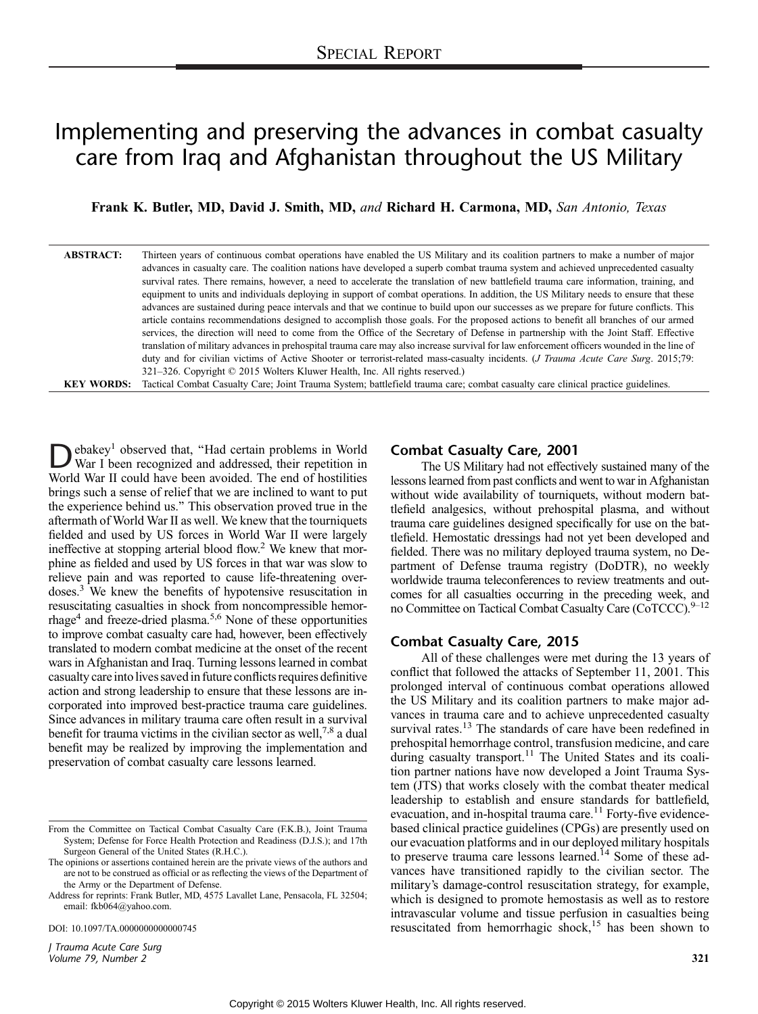# Implementing and preserving the advances in combat casualty care from Iraq and Afghanistan throughout the US Military

Frank K. Butler, MD, David J. Smith, MD, and Richard H. Carmona, MD, San Antonio, Texas

ABSTRACT: Thirteen years of continuous combat operations have enabled the US Military and its coalition partners to make a number of major advances in casualty care. The coalition nations have developed a superb combat trauma system and achieved unprecedented casualty survival rates. There remains, however, a need to accelerate the translation of new battlefield trauma care information, training, and equipment to units and individuals deploying in support of combat operations. In addition, the US Military needs to ensure that these advances are sustained during peace intervals and that we continue to build upon our successes as we prepare for future conflicts. This article contains recommendations designed to accomplish those goals. For the proposed actions to benefit all branches of our armed services, the direction will need to come from the Office of the Secretary of Defense in partnership with the Joint Staff. Effective translation of military advances in prehospital trauma care may also increase survival for law enforcement officers wounded in the line of duty and for civilian victims of Active Shooter or terrorist-related mass-casualty incidents. (J Trauma Acute Care Surg. 2015;79: 321-326. Copyright  $©$  2015 Wolters Kluwer Health, Inc. All rights reserved.)

KEY WORDS: Tactical Combat Casualty Care; Joint Trauma System; battlefield trauma care; combat casualty care clinical practice guidelines.

ebakey<sup>1</sup> observed that, "Had certain problems in World War I been recognized and addressed, their repetition in World War II could have been avoided. The end of hostilities brings such a sense of relief that we are inclined to want to put the experience behind us.'' This observation proved true in the aftermath of World War II as well. We knew that the tourniquets fielded and used by US forces in World War II were largely ineffective at stopping arterial blood flow.<sup>2</sup> We knew that morphine as fielded and used by US forces in that war was slow to relieve pain and was reported to cause life-threatening overdoses.3 We knew the benefits of hypotensive resuscitation in resuscitating casualties in shock from noncompressible hemorrhage4 and freeze-dried plasma.5,6 None of these opportunities to improve combat casualty care had, however, been effectively translated to modern combat medicine at the onset of the recent wars in Afghanistan and Iraq. Turning lessons learned in combat casualty care into lives saved in future conflicts requires definitive action and strong leadership to ensure that these lessons are incorporated into improved best-practice trauma care guidelines. Since advances in military trauma care often result in a survival benefit for trauma victims in the civilian sector as well,  $7,8$  a dual benefit may be realized by improving the implementation and preservation of combat casualty care lessons learned.

DOI: 10.1097/TA.0000000000000745

J Trauma Acute Care Surg Volume 79, Number 2 321

## Combat Casualty Care, 2001

The US Military had not effectively sustained many of the lessons learned from past conflicts and went to war in Afghanistan without wide availability of tourniquets, without modern battlefield analgesics, without prehospital plasma, and without trauma care guidelines designed specifically for use on the battlefield. Hemostatic dressings had not yet been developed and fielded. There was no military deployed trauma system, no Department of Defense trauma registry (DoDTR), no weekly worldwide trauma teleconferences to review treatments and outcomes for all casualties occurring in the preceding week, and no Committee on Tactical Combat Casualty Care (CoTCCC).<sup>9-12</sup>

## Combat Casualty Care, 2015

All of these challenges were met during the 13 years of conflict that followed the attacks of September 11, 2001. This prolonged interval of continuous combat operations allowed the US Military and its coalition partners to make major advances in trauma care and to achieve unprecedented casualty survival rates.<sup>13</sup> The standards of care have been redefined in prehospital hemorrhage control, transfusion medicine, and care during casualty transport.<sup>11</sup> The United States and its coalition partner nations have now developed a Joint Trauma System (JTS) that works closely with the combat theater medical leadership to establish and ensure standards for battlefield, evacuation, and in-hospital trauma care.<sup>11</sup> Forty-five evidencebased clinical practice guidelines (CPGs) are presently used on our evacuation platforms and in our deployed military hospitals to preserve trauma care lessons learned.<sup>14</sup> Some of these advances have transitioned rapidly to the civilian sector. The military's damage-control resuscitation strategy, for example, which is designed to promote hemostasis as well as to restore intravascular volume and tissue perfusion in casualties being resuscitated from hemorrhagic shock,<sup>15</sup> has been shown to

From the Committee on Tactical Combat Casualty Care (F.K.B.), Joint Trauma System; Defense for Force Health Protection and Readiness (D.J.S.); and 17th Surgeon General of the United States (R.H.C.).

The opinions or assertions contained herein are the private views of the authors and are not to be construed as official or as reflecting the views of the Department of the Army or the Department of Defense.

Address for reprints: Frank Butler, MD, 4575 Lavallet Lane, Pensacola, FL 32504; email: [fkb064@yahoo.com.](mailto:fkb064@yahoo.com)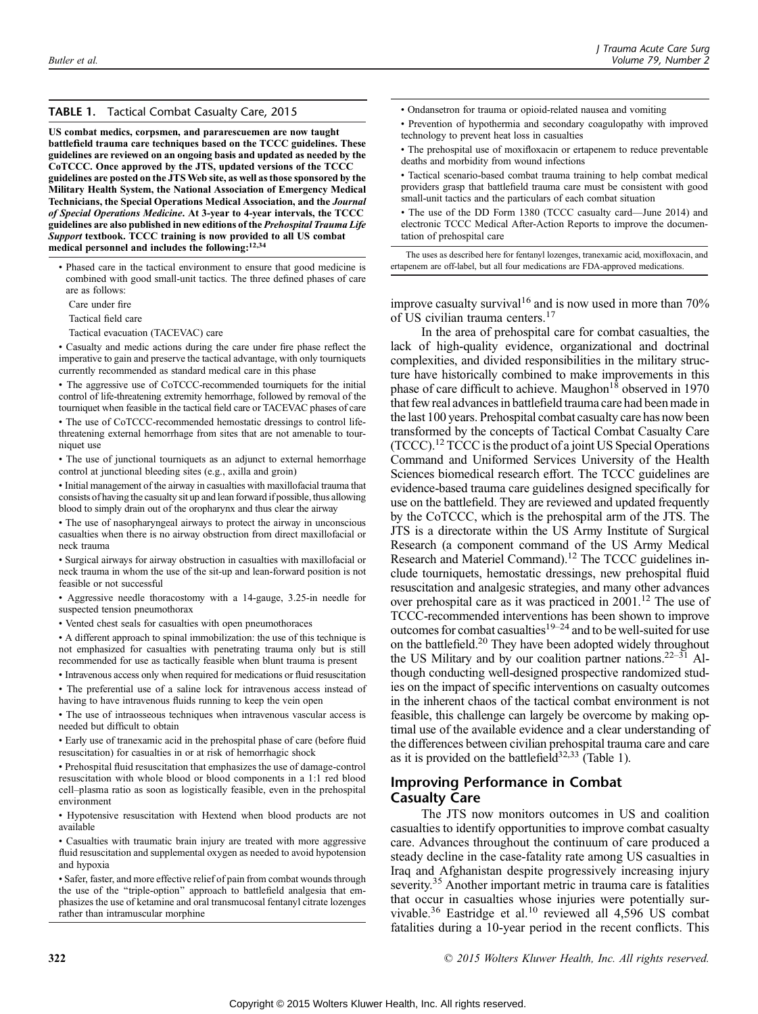#### TABLE 1. Tactical Combat Casualty Care, 2015

US combat medics, corpsmen, and pararescuemen are now taught battlefield trauma care techniques based on the TCCC guidelines. These guidelines are reviewed on an ongoing basis and updated as needed by the CoTCCC. Once approved by the JTS, updated versions of the TCCC guidelines are posted on the JTS Web site, as well as those sponsored by the Military Health System, the National Association of Emergency Medical Technicians, the Special Operations Medical Association, and the Journal of Special Operations Medicine. At 3-year to 4-year intervals, the TCCC guidelines are also published in new editions of the Prehospital Trauma Life Support textbook. TCCC training is now provided to all US combat medical personnel and includes the following:12,34

& Phased care in the tactical environment to ensure that good medicine is combined with good small-unit tactics. The three defined phases of care are as follows:

Care under fire

Tactical field care

Tactical evacuation (TACEVAC) care

& Casualty and medic actions during the care under fire phase reflect the imperative to gain and preserve the tactical advantage, with only tourniquets currently recommended as standard medical care in this phase

& The aggressive use of CoTCCC-recommended tourniquets for the initial control of life-threatening extremity hemorrhage, followed by removal of the tourniquet when feasible in the tactical field care or TACEVAC phases of care & The use of CoTCCC-recommended hemostatic dressings to control life-

threatening external hemorrhage from sites that are not amenable to tourniquet use

& The use of junctional tourniquets as an adjunct to external hemorrhage control at junctional bleeding sites (e.g., axilla and groin)

& Initial management of the airway in casualties with maxillofacial trauma that consists of having the casualty sit up and lean forward if possible, thus allowing blood to simply drain out of the oropharynx and thus clear the airway

& The use of nasopharyngeal airways to protect the airway in unconscious casualties when there is no airway obstruction from direct maxillofacial or neck trauma

& Surgical airways for airway obstruction in casualties with maxillofacial or neck trauma in whom the use of the sit-up and lean-forward position is not feasible or not successful

& Aggressive needle thoracostomy with a 14-gauge, 3.25-in needle for suspected tension pneumothorax

& Vented chest seals for casualties with open pneumothoraces

& A different approach to spinal immobilization: the use of this technique is not emphasized for casualties with penetrating trauma only but is still recommended for use as tactically feasible when blunt trauma is present

& Intravenous access only when required for medications or fluid resuscitation & The preferential use of a saline lock for intravenous access instead of

having to have intravenous fluids running to keep the vein open

& The use of intraosseous techniques when intravenous vascular access is needed but difficult to obtain

& Early use of tranexamic acid in the prehospital phase of care (before fluid resuscitation) for casualties in or at risk of hemorrhagic shock

& Prehospital fluid resuscitation that emphasizes the use of damage-control resuscitation with whole blood or blood components in a 1:1 red blood cell-plasma ratio as soon as logistically feasible, even in the prehospital environment

& Hypotensive resuscitation with Hextend when blood products are not available

& Casualties with traumatic brain injury are treated with more aggressive fluid resuscitation and supplemental oxygen as needed to avoid hypotension and hypoxia

& Safer, faster, and more effective relief of pain from combat wounds through the use of the ''triple-option'' approach to battlefield analgesia that emphasizes the use of ketamine and oral transmucosal fentanyl citrate lozenges rather than intramuscular morphine

& Ondansetron for trauma or opioid-related nausea and vomiting

- & Prevention of hypothermia and secondary coagulopathy with improved technology to prevent heat loss in casualties
- & The prehospital use of moxifloxacin or ertapenem to reduce preventable deaths and morbidity from wound infections

& Tactical scenario-based combat trauma training to help combat medical providers grasp that battlefield trauma care must be consistent with good small-unit tactics and the particulars of each combat situation

 $\bullet$  The use of the DD Form 1380 (TCCC casualty card—June 2014) and electronic TCCC Medical After-Action Reports to improve the documentation of prehospital care

The uses as described here for fentanyl lozenges, tranexamic acid, moxifloxacin, and ertapenem are off-label, but all four medications are FDA-approved medications.

improve casualty survival<sup>16</sup> and is now used in more than  $70\%$ of US civilian trauma centers.<sup>17</sup>

In the area of prehospital care for combat casualties, the lack of high-quality evidence, organizational and doctrinal complexities, and divided responsibilities in the military structure have historically combined to make improvements in this phase of care difficult to achieve. Maughon<sup>18</sup> observed in 1970 that few real advances in battlefield trauma care had been made in the last 100 years. Prehospital combat casualty care has now been transformed by the concepts of Tactical Combat Casualty Care (TCCC).12 TCCC is the product of a joint US Special Operations Command and Uniformed Services University of the Health Sciences biomedical research effort. The TCCC guidelines are evidence-based trauma care guidelines designed specifically for use on the battlefield. They are reviewed and updated frequently by the CoTCCC, which is the prehospital arm of the JTS. The JTS is a directorate within the US Army Institute of Surgical Research (a component command of the US Army Medical Research and Materiel Command).<sup>12</sup> The TCCC guidelines include tourniquets, hemostatic dressings, new prehospital fluid resuscitation and analgesic strategies, and many other advances over prehospital care as it was practiced in  $2001<sup>12</sup>$  The use of TCCC-recommended interventions has been shown to improve outcomes for combat casualties<sup>19–24</sup> and to be well-suited for use on the battlefield.<sup>20</sup> They have been adopted widely throughout the US Military and by our coalition partner nations.<sup>22-31</sup> Although conducting well-designed prospective randomized studies on the impact of specific interventions on casualty outcomes in the inherent chaos of the tactical combat environment is not feasible, this challenge can largely be overcome by making optimal use of the available evidence and a clear understanding of the differences between civilian prehospital trauma care and care as it is provided on the battlefield  $32,33$  (Table 1).

## Improving Performance in Combat Casualty Care

The JTS now monitors outcomes in US and coalition casualties to identify opportunities to improve combat casualty care. Advances throughout the continuum of care produced a steady decline in the case-fatality rate among US casualties in Iraq and Afghanistan despite progressively increasing injury severity.<sup>35</sup> Another important metric in trauma care is fatalities that occur in casualties whose injuries were potentially survivable. $36$  Eastridge et al.<sup>10</sup> reviewed all 4,596 US combat fatalities during a 10-year period in the recent conflicts. This

**322 2015** Wolters Kluwer Health, Inc. All rights reserved.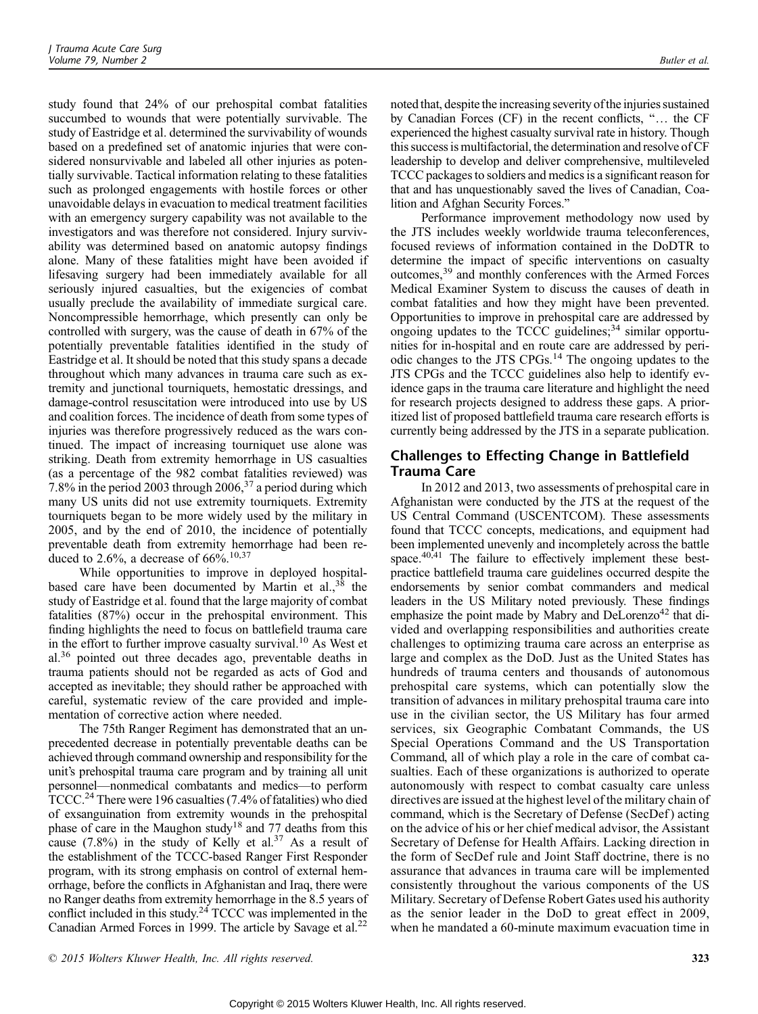study found that 24% of our prehospital combat fatalities succumbed to wounds that were potentially survivable. The study of Eastridge et al. determined the survivability of wounds based on a predefined set of anatomic injuries that were considered nonsurvivable and labeled all other injuries as potentially survivable. Tactical information relating to these fatalities such as prolonged engagements with hostile forces or other unavoidable delays in evacuation to medical treatment facilities with an emergency surgery capability was not available to the investigators and was therefore not considered. Injury survivability was determined based on anatomic autopsy findings alone. Many of these fatalities might have been avoided if lifesaving surgery had been immediately available for all seriously injured casualties, but the exigencies of combat usually preclude the availability of immediate surgical care. Noncompressible hemorrhage, which presently can only be controlled with surgery, was the cause of death in 67% of the potentially preventable fatalities identified in the study of Eastridge et al. It should be noted that this study spans a decade throughout which many advances in trauma care such as extremity and junctional tourniquets, hemostatic dressings, and damage-control resuscitation were introduced into use by US and coalition forces. The incidence of death from some types of injuries was therefore progressively reduced as the wars continued. The impact of increasing tourniquet use alone was striking. Death from extremity hemorrhage in US casualties (as a percentage of the 982 combat fatalities reviewed) was 7.8% in the period 2003 through  $2006<sup>37</sup>$  a period during which many US units did not use extremity tourniquets. Extremity tourniquets began to be more widely used by the military in 2005, and by the end of 2010, the incidence of potentially preventable death from extremity hemorrhage had been reduced to 2.6%, a decrease of  $66\%$ .<sup>10,37</sup>

While opportunities to improve in deployed hospitalbased care have been documented by Martin et al., $3\delta$  the study of Eastridge et al. found that the large majority of combat fatalities (87%) occur in the prehospital environment. This finding highlights the need to focus on battlefield trauma care in the effort to further improve casualty survival.<sup>10</sup> As West et al.<sup>36</sup> pointed out three decades ago, preventable deaths in trauma patients should not be regarded as acts of God and accepted as inevitable; they should rather be approached with careful, systematic review of the care provided and implementation of corrective action where needed.

The 75th Ranger Regiment has demonstrated that an unprecedented decrease in potentially preventable deaths can be achieved through command ownership and responsibility for the unit's prehospital trauma care program and by training all unit personnel-nonmedical combatants and medics-to perform TCCC.<sup>24</sup> There were 196 casualties (7.4% of fatalities) who died of exsanguination from extremity wounds in the prehospital phase of care in the Maughon study<sup>18</sup> and 77 deaths from this cause  $(7.8\%)$  in the study of Kelly et al.<sup>37</sup> As a result of the establishment of the TCCC-based Ranger First Responder program, with its strong emphasis on control of external hemorrhage, before the conflicts in Afghanistan and Iraq, there were no Ranger deaths from extremity hemorrhage in the 8.5 years of conflict included in this study.<sup>24</sup> TCCC was implemented in the Canadian Armed Forces in 1999. The article by Savage et al.<sup>22</sup>

noted that, despite the increasing severity of the injuries sustained by Canadian Forces (CF) in the recent conflicts, "... the CF experienced the highest casualty survival rate in history. Though this success is multifactorial, the determination and resolve of CF leadership to develop and deliver comprehensive, multileveled TCCC packages to soldiers and medics is a significant reason for that and has unquestionably saved the lives of Canadian, Coalition and Afghan Security Forces.''

Performance improvement methodology now used by the JTS includes weekly worldwide trauma teleconferences, focused reviews of information contained in the DoDTR to determine the impact of specific interventions on casualty outcomes,<sup>39</sup> and monthly conferences with the Armed Forces Medical Examiner System to discuss the causes of death in combat fatalities and how they might have been prevented. Opportunities to improve in prehospital care are addressed by ongoing updates to the TCCC guidelines;<sup>34</sup> similar opportunities for in-hospital and en route care are addressed by periodic changes to the JTS CPGs.<sup>14</sup> The ongoing updates to the JTS CPGs and the TCCC guidelines also help to identify evidence gaps in the trauma care literature and highlight the need for research projects designed to address these gaps. A prioritized list of proposed battlefield trauma care research efforts is currently being addressed by the JTS in a separate publication.

# Challenges to Effecting Change in Battlefield Trauma Care

In 2012 and 2013, two assessments of prehospital care in Afghanistan were conducted by the JTS at the request of the US Central Command (USCENTCOM). These assessments found that TCCC concepts, medications, and equipment had been implemented unevenly and incompletely across the battle space.<sup>40,41</sup> The failure to effectively implement these bestpractice battlefield trauma care guidelines occurred despite the endorsements by senior combat commanders and medical leaders in the US Military noted previously. These findings emphasize the point made by Mabry and DeLorenzo<sup>42</sup> that divided and overlapping responsibilities and authorities create challenges to optimizing trauma care across an enterprise as large and complex as the DoD. Just as the United States has hundreds of trauma centers and thousands of autonomous prehospital care systems, which can potentially slow the transition of advances in military prehospital trauma care into use in the civilian sector, the US Military has four armed services, six Geographic Combatant Commands, the US Special Operations Command and the US Transportation Command, all of which play a role in the care of combat casualties. Each of these organizations is authorized to operate autonomously with respect to combat casualty care unless directives are issued at the highest level of the military chain of command, which is the Secretary of Defense (SecDef ) acting on the advice of his or her chief medical advisor, the Assistant Secretary of Defense for Health Affairs. Lacking direction in the form of SecDef rule and Joint Staff doctrine, there is no assurance that advances in trauma care will be implemented consistently throughout the various components of the US Military. Secretary of Defense Robert Gates used his authority as the senior leader in the DoD to great effect in 2009, when he mandated a 60-minute maximum evacuation time in

 $\degree$  2015 Wolters Kluwer Health, Inc. All rights reserved.  $\degree$  323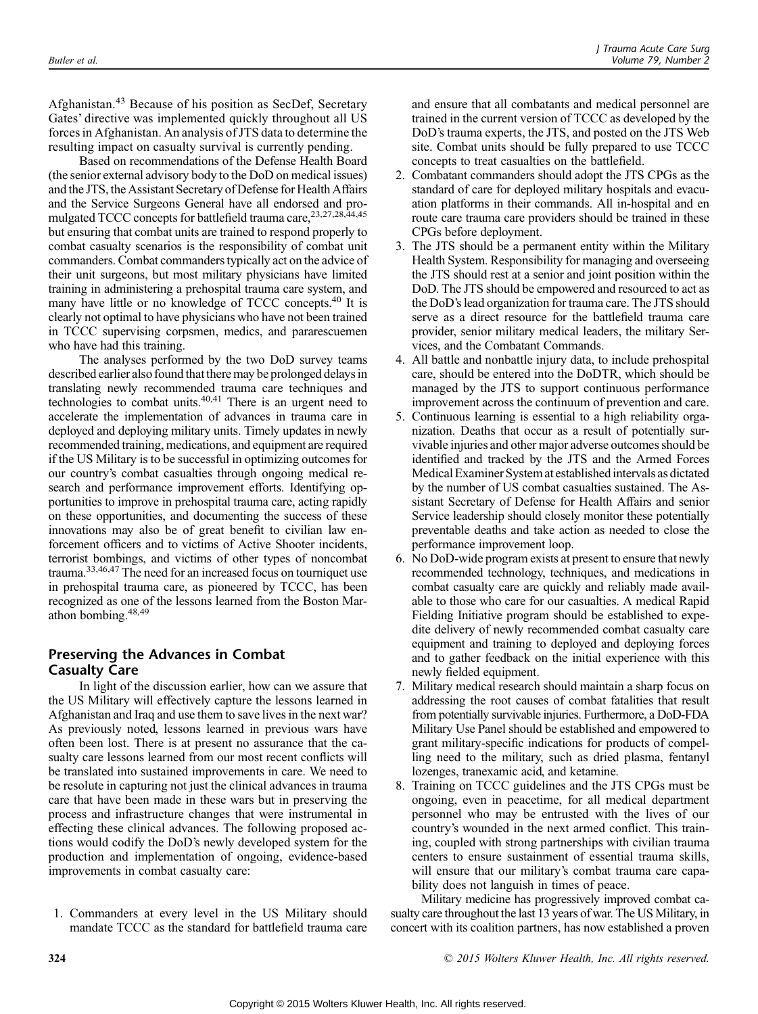Afghanistan.<sup>43</sup> Because of his position as SecDef, Secretary Gates' directive was implemented quickly throughout all US forces in Afghanistan. An analysis of JTS data to determine the resulting impact on casualty survival is currently pending.

Based on recommendations of the Defense Health Board (the senior external advisory body to the DoD on medical issues) and the JTS, the Assistant Secretary of Defense for Health Affairs and the Service Surgeons General have all endorsed and promulgated TCCC concepts for battlefield trauma care,<sup>23,27,28,44,45</sup> but ensuring that combat units are trained to respond properly to combat casualty scenarios is the responsibility of combat unit commanders. Combat commanders typically act on the advice of their unit surgeons, but most military physicians have limited training in administering a prehospital trauma care system, and many have little or no knowledge of TCCC concepts.<sup>40</sup> It is clearly not optimal to have physicians who have not been trained in TCCC supervising corpsmen, medics, and pararescuemen who have had this training.

The analyses performed by the two DoD survey teams described earlier also found that there may be prolonged delays in translating newly recommended trauma care techniques and technologies to combat units.<sup>40,41</sup> There is an urgent need to accelerate the implementation of advances in trauma care in deployed and deploying military units. Timely updates in newly recommended training, medications, and equipment are required if the US Military is to be successful in optimizing outcomes for our country's combat casualties through ongoing medical research and performance improvement efforts. Identifying opportunities to improve in prehospital trauma care, acting rapidly on these opportunities, and documenting the success of these innovations may also be of great benefit to civilian law enforcement officers and to victims of Active Shooter incidents, terrorist bombings, and victims of other types of noncombat trauma.33,46,47 The need for an increased focus on tourniquet use in prehospital trauma care, as pioneered by TCCC, has been recognized as one of the lessons learned from the Boston Marathon bombing.48,49

# Preserving the Advances in Combat Casualty Care

In light of the discussion earlier, how can we assure that the US Military will effectively capture the lessons learned in Afghanistan and Iraq and use them to save lives in the next war? As previously noted, lessons learned in previous wars have often been lost. There is at present no assurance that the casualty care lessons learned from our most recent conflicts will be translated into sustained improvements in care. We need to be resolute in capturing not just the clinical advances in trauma care that have been made in these wars but in preserving the process and infrastructure changes that were instrumental in effecting these clinical advances. The following proposed actions would codify the DoD's newly developed system for the production and implementation of ongoing, evidence-based improvements in combat casualty care:

1. Commanders at every level in the US Military should mandate TCCC as the standard for battlefield trauma care

and ensure that all combatants and medical personnel are trained in the current version of TCCC as developed by the DoD's trauma experts, the JTS, and posted on the JTS Web site. Combat units should be fully prepared to use TCCC concepts to treat casualties on the battlefield.

- 2. Combatant commanders should adopt the JTS CPGs as the standard of care for deployed military hospitals and evacuation platforms in their commands. All in-hospital and en route care trauma care providers should be trained in these CPGs before deployment.
- 3. The JTS should be a permanent entity within the Military Health System. Responsibility for managing and overseeing the JTS should rest at a senior and joint position within the DoD. The JTS should be empowered and resourced to act as the DoD's lead organization for trauma care. The JTS should serve as a direct resource for the battlefield trauma care provider, senior military medical leaders, the military Services, and the Combatant Commands.
- 4. All battle and nonbattle injury data, to include prehospital care, should be entered into the DoDTR, which should be managed by the JTS to support continuous performance improvement across the continuum of prevention and care.
- 5. Continuous learning is essential to a high reliability organization. Deaths that occur as a result of potentially survivable injuries and other major adverse outcomes should be identified and tracked by the JTS and the Armed Forces Medical Examiner System at establishedintervals as dictated by the number of US combat casualties sustained. The Assistant Secretary of Defense for Health Affairs and senior Service leadership should closely monitor these potentially preventable deaths and take action as needed to close the performance improvement loop.
- 6. No DoD-wide program exists at present to ensure that newly recommended technology, techniques, and medications in combat casualty care are quickly and reliably made available to those who care for our casualties. A medical Rapid Fielding Initiative program should be established to expedite delivery of newly recommended combat casualty care equipment and training to deployed and deploying forces and to gather feedback on the initial experience with this newly fielded equipment.
- 7. Military medical research should maintain a sharp focus on addressing the root causes of combat fatalities that result from potentially survivable injuries. Furthermore, a DoD-FDA Military Use Panel should be established and empowered to grant military-specific indications for products of compelling need to the military, such as dried plasma, fentanyl lozenges, tranexamic acid, and ketamine.
- 8. Training on TCCC guidelines and the JTS CPGs must be ongoing, even in peacetime, for all medical department personnel who may be entrusted with the lives of our country's wounded in the next armed conflict. This training, coupled with strong partnerships with civilian trauma centers to ensure sustainment of essential trauma skills, will ensure that our military's combat trauma care capability does not languish in times of peace.

Military medicine has progressively improved combat casualty care throughout the last 13 years of war. The US Military, in concert with its coalition partners, has now established a proven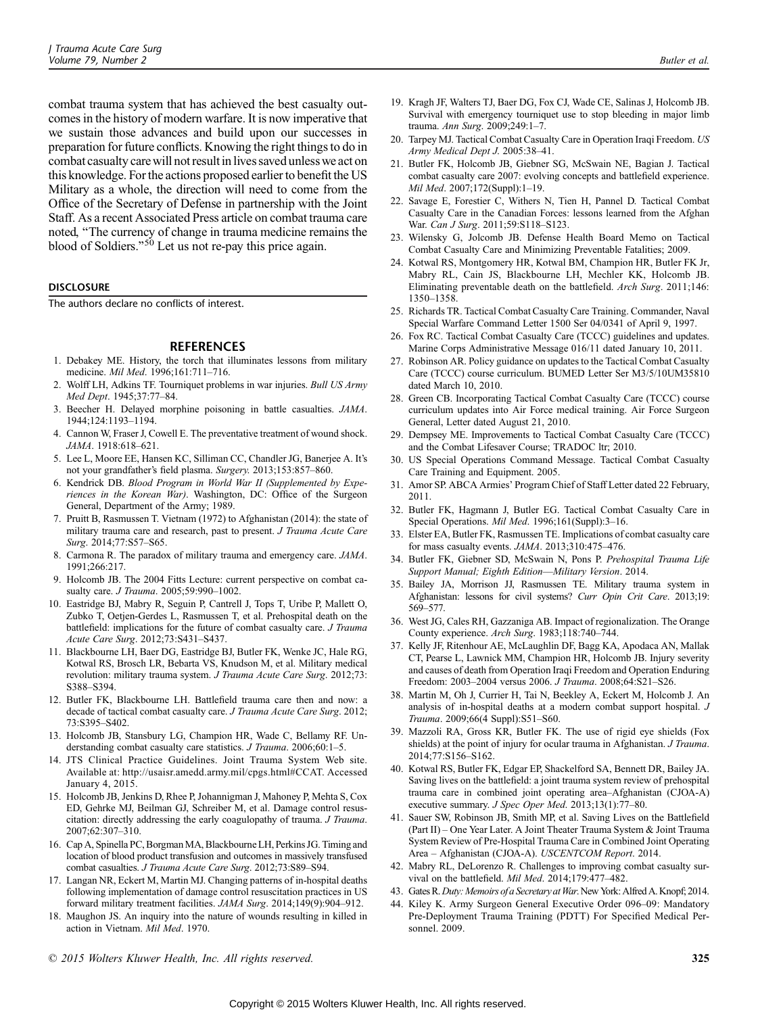combat trauma system that has achieved the best casualty outcomes in the history of modern warfare. It is now imperative that we sustain those advances and build upon our successes in preparation for future conflicts. Knowing the right things to do in combat casualty carewill not result in lives saved unless we act on this knowledge. For the actions proposed earlier to benefit the US Military as a whole, the direction will need to come from the Office of the Secretary of Defense in partnership with the Joint Staff. As a recent Associated Press article on combat trauma care noted, ''The currency of change in trauma medicine remains the blood of Soldiers.''50 Let us not re-pay this price again.

#### **DISCLOSURE**

The authors declare no conflicts of interest.

#### **REFERENCES**

- 1. Debakey ME. History, the torch that illuminates lessons from military medicine. Mil Med. 1996;161:711-716.
- 2. Wolff LH, Adkins TF. Tourniquet problems in war injuries. Bull US Army Med Dept. 1945;37:77-84.
- 3. Beecher H. Delayed morphine poisoning in battle casualties. JAMA. 1944;124:1193-1194.
- 4. Cannon W, Fraser J, Cowell E. The preventative treatment of wound shock. JAMA. 1918:618-621.
- 5. Lee L, Moore EE, Hansen KC, Silliman CC, Chandler JG, Banerjee A. It's not your grandfather's field plasma. Surgery. 2013;153:857-860.
- 6. Kendrick DB. Blood Program in World War II (Supplemented by Experiences in the Korean War). Washington, DC: Office of the Surgeon General, Department of the Army; 1989.
- 7. Pruitt B, Rasmussen T. Vietnam (1972) to Afghanistan (2014): the state of military trauma care and research, past to present. J Trauma Acute Care Surg. 2014;77:S57-S65.
- 8. Carmona R. The paradox of military trauma and emergency care. JAMA. 1991;266:217.
- 9. Holcomb JB. The 2004 Fitts Lecture: current perspective on combat casualty care. J Trauma. 2005;59:990-1002.
- 10. Eastridge BJ, Mabry R, Seguin P, Cantrell J, Tops T, Uribe P, Mallett O, Zubko T, Oetjen-Gerdes L, Rasmussen T, et al. Prehospital death on the battlefield: implications for the future of combat casualty care. J Trauma Acute Care Surg. 2012;73:S431-S437.
- 11. Blackbourne LH, Baer DG, Eastridge BJ, Butler FK, Wenke JC, Hale RG, Kotwal RS, Brosch LR, Bebarta VS, Knudson M, et al. Military medical revolution: military trauma system. J Trauma Acute Care Surg. 2012;73: S388-S394.
- 12. Butler FK, Blackbourne LH. Battlefield trauma care then and now: a decade of tactical combat casualty care. J Trauma Acute Care Surg. 2012; 73:S395-S402
- 13. Holcomb JB, Stansbury LG, Champion HR, Wade C, Bellamy RF. Understanding combat casualty care statistics. J Trauma.  $2006;60:1-5$ .
- 14. JTS Clinical Practice Guidelines. Joint Trauma System Web site. Available at: [http://usaisr.amedd.army.mil/cpgs.html#CCAT.](http://usaisr.amedd.army.mil/cpgs.html#CCAT) Accessed January 4, 2015.
- 15. Holcomb JB, Jenkins D, Rhee P, Johannigman J, Mahoney P, Mehta S, Cox ED, Gehrke MJ, Beilman GJ, Schreiber M, et al. Damage control resuscitation: directly addressing the early coagulopathy of trauma. J Trauma. 2007;62:307-310.
- 16. Cap A, Spinella PC, Borgman MA, Blackbourne LH, Perkins JG. Timing and location of blood product transfusion and outcomes in massively transfused combat casualties. J Trauma Acute Care Surg. 2012;73:S89-S94.
- 17. Langan NR, Eckert M, Martin MJ. Changing patterns of in-hospital deaths following implementation of damage control resuscitation practices in US forward military treatment facilities. JAMA Surg. 2014;149(9):904–912.
- 18. Maughon JS. An inquiry into the nature of wounds resulting in killed in action in Vietnam. Mil Med. 1970.
- 19. Kragh JF, Walters TJ, Baer DG, Fox CJ, Wade CE, Salinas J, Holcomb JB. Survival with emergency tourniquet use to stop bleeding in major limb trauma. Ann Surg. 2009;249:1-7.
- 20. Tarpey MJ. Tactical Combat Casualty Care in Operation Iraqi Freedom. US Army Medical Dept J. 2005:38-41.
- 21. Butler FK, Holcomb JB, Giebner SG, McSwain NE, Bagian J. Tactical combat casualty care 2007: evolving concepts and battlefield experience. Mil Med. 2007;172(Suppl):1-19.
- 22. Savage E, Forestier C, Withers N, Tien H, Pannel D. Tactical Combat Casualty Care in the Canadian Forces: lessons learned from the Afghan War. Can J Surg. 2011;59:S118-S123.
- 23. Wilensky G, Jolcomb JB. Defense Health Board Memo on Tactical Combat Casualty Care and Minimizing Preventable Fatalities; 2009.
- 24. Kotwal RS, Montgomery HR, Kotwal BM, Champion HR, Butler FK Jr, Mabry RL, Cain JS, Blackbourne LH, Mechler KK, Holcomb JB. Eliminating preventable death on the battlefield. Arch Surg. 2011;146: 1350-1358.
- 25. Richards TR. Tactical Combat Casualty Care Training. Commander, Naval Special Warfare Command Letter 1500 Ser 04/0341 of April 9, 1997.
- 26. Fox RC. Tactical Combat Casualty Care (TCCC) guidelines and updates. Marine Corps Administrative Message 016/11 dated January 10, 2011.
- 27. Robinson AR. Policy guidance on updates to the Tactical Combat Casualty Care (TCCC) course curriculum. BUMED Letter Ser M3/5/10UM35810 dated March 10, 2010.
- 28. Green CB. Incorporating Tactical Combat Casualty Care (TCCC) course curriculum updates into Air Force medical training. Air Force Surgeon General, Letter dated August 21, 2010.
- 29. Dempsey ME. Improvements to Tactical Combat Casualty Care (TCCC) and the Combat Lifesaver Course; TRADOC ltr; 2010.
- 30. US Special Operations Command Message. Tactical Combat Casualty Care Training and Equipment. 2005.
- 31. Amor SP. ABCA Armies' Program Chief of Staff Letter dated 22 February, 2011.
- 32. Butler FK, Hagmann J, Butler EG. Tactical Combat Casualty Care in Special Operations. Mil Med. 1996;161(Suppl):3-16.
- 33. Elster EA, Butler FK, Rasmussen TE. Implications of combat casualty care for mass casualty events.  $JAMA$ . 2013;310:475-476.
- 34. Butler FK, Giebner SD, McSwain N, Pons P. Prehospital Trauma Life Support Manual; Eighth Edition-Military Version. 2014.
- 35. Bailey JA, Morrison JJ, Rasmussen TE. Military trauma system in Afghanistan: lessons for civil systems? Curr Opin Crit Care. 2013;19: 569-577.
- 36. West JG, Cales RH, Gazzaniga AB. Impact of regionalization. The Orange County experience. Arch Surg.  $1983;118:740-744$ .
- 37. Kelly JF, Ritenhour AE, McLaughlin DF, Bagg KA, Apodaca AN, Mallak CT, Pearse L, Lawnick MM, Champion HR, Holcomb JB. Injury severity and causes of death from Operation Iraqi Freedom and Operation Enduring Freedom: 2003-2004 versus 2006. J Trauma. 2008;64:S21-S26.
- 38. Martin M, Oh J, Currier H, Tai N, Beekley A, Eckert M, Holcomb J. An analysis of in-hospital deaths at a modern combat support hospital. J Trauma. 2009;66(4 Suppl):S51-S60.
- 39. Mazzoli RA, Gross KR, Butler FK. The use of rigid eye shields (Fox shields) at the point of injury for ocular trauma in Afghanistan. *J Trauma*. 2014;77:S156-S162.
- 40. Kotwal RS, Butler FK, Edgar EP, Shackelford SA, Bennett DR, Bailey JA. Saving lives on the battlefield: a joint trauma system review of prehospital trauma care in combined joint operating area-Afghanistan (CJOA-A) executive summary. J Spec Oper Med. 2013;13(1):77-80.
- 41. Sauer SW, Robinson JB, Smith MP, et al. Saving Lives on the Battlefield (Part II) - One Year Later. A Joint Theater Trauma System & Joint Trauma System Review of Pre-Hospital Trauma Care in Combined Joint Operating Area - Afghanistan (CJOA-A). USCENTCOM Report. 2014.
- 42. Mabry RL, DeLorenzo R. Challenges to improving combat casualty survival on the battlefield. Mil Med. 2014;179:477-482.
- 43. Gates R. Duty: Memoirs of a Secretary at War. New York: Alfred A. Knopf; 2014.
- 44. Kiley K. Army Surgeon General Executive Order 096-09: Mandatory Pre-Deployment Trauma Training (PDTT) For Specified Medical Personnel. 2009.
- $\degree$  2015 Wolters Kluwer Health, Inc. All rights reserved.  $325$